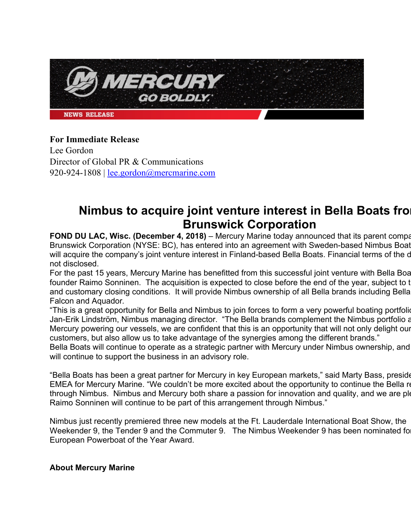**AERGUI GO BOLDLY. NEWS RELEASE** 

### **For Immediate Release**

Lee Gordon Director of Global PR & Communications 920-924-1808 | lee.gordon@mercmarine.com

# **Nimbus to acquire joint venture interest in Bella Boats from Brunswick Corporation**

**FOND DU LAC, Wisc. (December 4, 2018)** – Mercury Marine today announced that its parent compa Brunswick Corporation (NYSE: BC), has entered into an agreement with Sweden-based Nimbus Boat will acquire the company's joint venture interest in Finland-based Bella Boats. Financial terms of the d not disclosed.

For the past 15 years, Mercury Marine has benefitted from this successful joint venture with Bella Boat founder Raimo Sonninen. The acquisition is expected to close before the end of the year, subject to t and customary closing conditions. It will provide Nimbus ownership of all Bella brands including Bella Falcon and Aquador*.* 

"This is a great opportunity for Bella and Nimbus to join forces to form a very powerful boating portfolio Jan-Erik Lindström, Nimbus managing director. "The Bella brands complement the Nimbus portfolio a Mercury powering our vessels, we are confident that this is an opportunity that will not only delight our customers, but also allow us to take advantage of the synergies among the different brands."

Bella Boats will continue to operate as a strategic partner with Mercury under Nimbus ownership, and will continue to support the business in an advisory role.

"Bella Boats has been a great partner for Mercury in key European markets," said Marty Bass, preside EMEA for Mercury Marine. "We couldn't be more excited about the opportunity to continue the Bella re through Nimbus. Nimbus and Mercury both share a passion for innovation and quality, and we are ple Raimo Sonninen will continue to be part of this arrangement through Nimbus."

Nimbus just recently premiered three new models at the Ft. Lauderdale International Boat Show, the Weekender 9, the Tender 9 and the Commuter 9. The Nimbus Weekender 9 has been nominated for European Powerboat of the Year Award.

#### **About Mercury Marine**